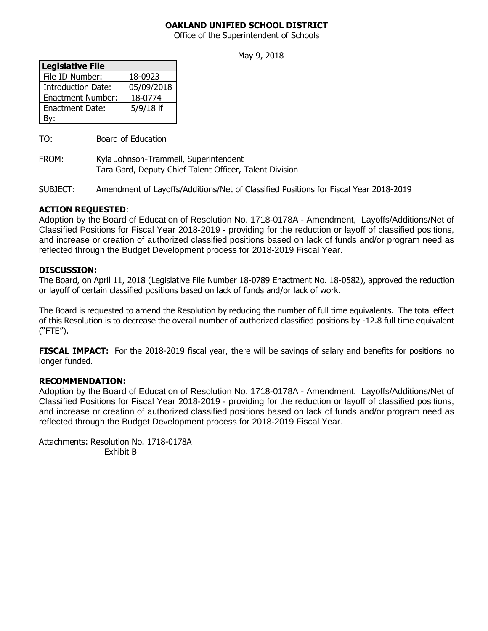# **OAKLAND UNIFIED SCHOOL DISTRICT**

Office of the Superintendent of Schools

May 9, 2018

| <b>Legislative File</b>   |             |
|---------------------------|-------------|
| File ID Number:           | 18-0923     |
| <b>Introduction Date:</b> | 05/09/2018  |
| <b>Enactment Number:</b>  | 18-0774     |
| <b>Enactment Date:</b>    | $5/9/18$ If |
|                           |             |

TO: Board of Education

FROM: Kyla Johnson-Trammell, Superintendent Tara Gard, Deputy Chief Talent Officer, Talent Division

SUBJECT: Amendment of Layoffs/Additions/Net of Classified Positions for Fiscal Year 2018-2019

# **ACTION REQUESTED**:

Adoption by the Board of Education of Resolution No. 1718-0178A - Amendment, Layoffs/Additions/Net of Classified Positions for Fiscal Year 2018-2019 - providing for the reduction or layoff of classified positions, and increase or creation of authorized classified positions based on lack of funds and/or program need as reflected through the Budget Development process for 2018-2019 Fiscal Year.

#### **DISCUSSION:**

The Board, on April 11, 2018 (Legislative File Number 18-0789 Enactment No. 18-0582), approved the reduction or layoff of certain classified positions based on lack of funds and/or lack of work.

The Board is requested to amend the Resolution by reducing the number of full time equivalents. The total effect of this Resolution is to decrease the overall number of authorized classified positions by -12.8 full time equivalent ("FTE").

**FISCAL IMPACT:** For the 2018-2019 fiscal year, there will be savings of salary and benefits for positions no longer funded.

# **RECOMMENDATION:**

Adoption by the Board of Education of Resolution No. 1718-0178A - Amendment, Layoffs/Additions/Net of Classified Positions for Fiscal Year 2018-2019 - providing for the reduction or layoff of classified positions, and increase or creation of authorized classified positions based on lack of funds and/or program need as reflected through the Budget Development process for 2018-2019 Fiscal Year.

Attachments: Resolution No. 1718-0178A Exhibit B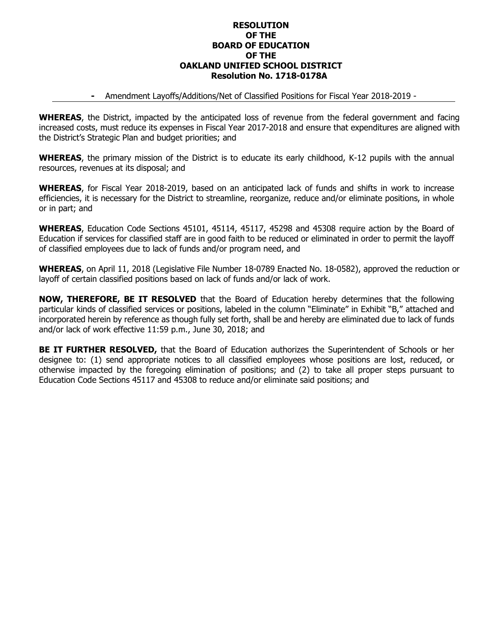#### **RESOLUTION OF THE BOARD OF EDUCATION OF THE OAKLAND UNIFIED SCHOOL DISTRICT Resolution No. 1718-0178A**

#### **-** Amendment Layoffs/Additions/Net of Classified Positions for Fiscal Year 2018-2019 -

**WHEREAS**, the District, impacted by the anticipated loss of revenue from the federal government and facing increased costs, must reduce its expenses in Fiscal Year 2017-2018 and ensure that expenditures are aligned with the District's Strategic Plan and budget priorities; and

**WHEREAS**, the primary mission of the District is to educate its early childhood, K-12 pupils with the annual resources, revenues at its disposal; and

**WHEREAS**, for Fiscal Year 2018-2019, based on an anticipated lack of funds and shifts in work to increase efficiencies, it is necessary for the District to streamline, reorganize, reduce and/or eliminate positions, in whole or in part; and

**WHEREAS**, Education Code Sections 45101, 45114, 45117, 45298 and 45308 require action by the Board of Education if services for classified staff are in good faith to be reduced or eliminated in order to permit the layoff of classified employees due to lack of funds and/or program need, and

**WHEREAS**, on April 11, 2018 (Legislative File Number 18-0789 Enacted No. 18-0582), approved the reduction or layoff of certain classified positions based on lack of funds and/or lack of work.

**NOW, THEREFORE, BE IT RESOLVED** that the Board of Education hereby determines that the following particular kinds of classified services or positions, labeled in the column "Eliminate" in Exhibit "B," attached and incorporated herein by reference as though fully set forth, shall be and hereby are eliminated due to lack of funds and/or lack of work effective 11:59 p.m., June 30, 2018; and

**BE IT FURTHER RESOLVED,** that the Board of Education authorizes the Superintendent of Schools or her designee to: (1) send appropriate notices to all classified employees whose positions are lost, reduced, or otherwise impacted by the foregoing elimination of positions; and (2) to take all proper steps pursuant to Education Code Sections 45117 and 45308 to reduce and/or eliminate said positions; and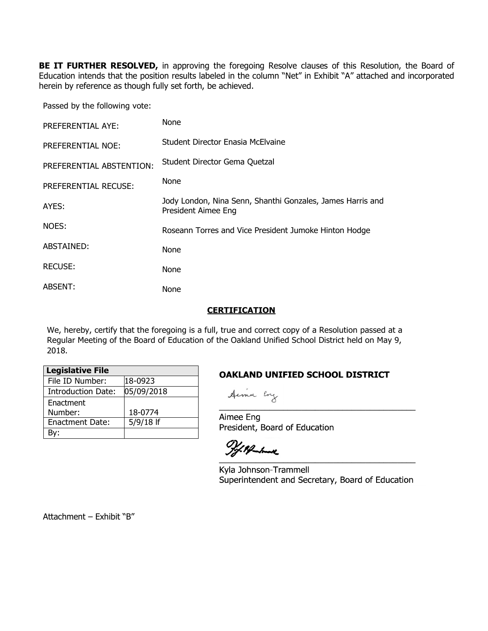**BE IT FURTHER RESOLVED,** in approving the foregoing Resolve clauses of this Resolution, the Board of Education intends that the position results labeled in the column "Net" in Exhibit "A" attached and incorporated herein by reference as though fully set forth, be achieved.

Passed by the following vote:

| PREFERENTIAL AYE:        | None                                                                              |
|--------------------------|-----------------------------------------------------------------------------------|
| <b>PREFERENTIAL NOE:</b> | Student Director Enasia McElvaine                                                 |
| PREFERENTIAL ABSTENTION: | Student Director Gema Quetzal                                                     |
| PREFERENTIAL RECUSE:     | None                                                                              |
| AYES:                    | Jody London, Nina Senn, Shanthi Gonzales, James Harris and<br>President Aimee Eng |
| NOES:                    | Roseann Torres and Vice President Jumoke Hinton Hodge                             |
| ABSTAINED:               | None                                                                              |
| <b>RECUSE:</b>           | None                                                                              |
| ABSENT:                  | None                                                                              |

#### **CERTIFICATION**

We, hereby, certify that the foregoing is a full, true and correct copy of a Resolution passed at a Regular Meeting of the Board of Education of the Oakland Unified School District held on May 9, 2018.

| <b>Legislative File</b>   |             |
|---------------------------|-------------|
| File ID Number:           | 18-0923     |
| <b>Introduction Date:</b> | 05/09/2018  |
| Enactment                 |             |
| Number:                   | 18-0774     |
| <b>Enactment Date:</b>    | $5/9/18$ If |
|                           |             |

# **OAKLAND UNIFIED SCHOOL DISTRICT**

Aimee Eng President, Board of Education

 $\overline{\phantom{a}}$ 

Kyla Johnson-Trammell Superintendent and Secretary, Board of Education

\_\_\_\_\_\_\_\_\_\_\_\_\_\_\_\_\_\_\_\_\_\_\_\_\_\_\_\_\_\_\_\_\_\_\_\_\_\_\_\_\_\_\_

Attachment – Exhibit "B"